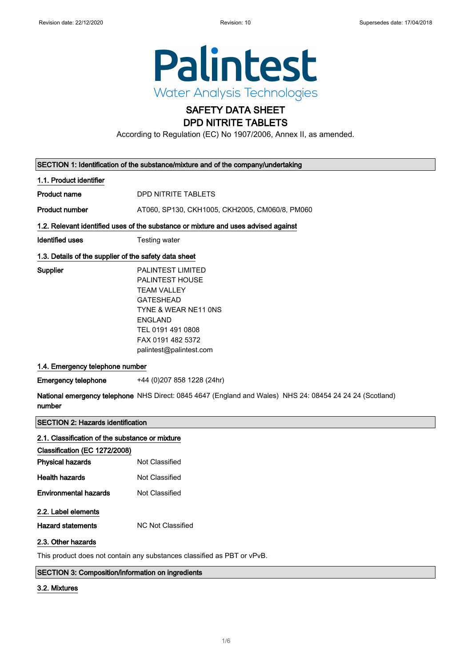$\overline{\phantom{a}}$ 

 $\begin{array}{c} \end{array}$ 



# SAFETY DATA SHEET

# DPD NITRITE TABLETS

According to Regulation (EC) No 1907/2006, Annex II, as amended.

| SECTION 1: Identification of the substance/mixture and of the company/undertaking                                  |                                                                                                                                                                                                             |  |  |
|--------------------------------------------------------------------------------------------------------------------|-------------------------------------------------------------------------------------------------------------------------------------------------------------------------------------------------------------|--|--|
| 1.1. Product identifier                                                                                            |                                                                                                                                                                                                             |  |  |
| <b>Product name</b>                                                                                                | DPD NITRITE TABLETS                                                                                                                                                                                         |  |  |
| <b>Product number</b>                                                                                              | AT060, SP130, CKH1005, CKH2005, CM060/8, PM060                                                                                                                                                              |  |  |
| 1.2. Relevant identified uses of the substance or mixture and uses advised against                                 |                                                                                                                                                                                                             |  |  |
| <b>Identified uses</b>                                                                                             | Testing water                                                                                                                                                                                               |  |  |
| 1.3. Details of the supplier of the safety data sheet                                                              |                                                                                                                                                                                                             |  |  |
| Supplier                                                                                                           | <b>PALINTEST LIMITED</b><br><b>PALINTEST HOUSE</b><br><b>TEAM VALLEY</b><br><b>GATESHEAD</b><br>TYNE & WEAR NE11 ONS<br><b>ENGLAND</b><br>TEL 0191 491 0808<br>FAX 0191 482 5372<br>palintest@palintest.com |  |  |
| 1.4. Emergency telephone number                                                                                    |                                                                                                                                                                                                             |  |  |
| <b>Emergency telephone</b>                                                                                         | +44 (0)207 858 1228 (24hr)                                                                                                                                                                                  |  |  |
| National emergency telephone NHS Direct: 0845 4647 (England and Wales) NHS 24: 08454 24 24 24 (Scotland)<br>number |                                                                                                                                                                                                             |  |  |
| <b>SECTION 2: Hazards identification</b>                                                                           |                                                                                                                                                                                                             |  |  |
| 2.1. Classification of the substance or mixture                                                                    |                                                                                                                                                                                                             |  |  |
| Classification (EC 1272/2008)                                                                                      |                                                                                                                                                                                                             |  |  |
| <b>Physical hazards</b>                                                                                            | Not Classified                                                                                                                                                                                              |  |  |
| <b>Health hazards</b>                                                                                              | Not Classified                                                                                                                                                                                              |  |  |
| <b>Environmental hazards</b>                                                                                       | Not Classified                                                                                                                                                                                              |  |  |
| 2.2. Label elements                                                                                                |                                                                                                                                                                                                             |  |  |
| <b>Hazard statements</b>                                                                                           | <b>NC Not Classified</b>                                                                                                                                                                                    |  |  |
| 0.0.04                                                                                                             |                                                                                                                                                                                                             |  |  |

#### 2.3. Other hazards

This product does not contain any substances classified as PBT or vPvB.

#### SECTION 3: Composition/information on ingredients

#### 3.2. Mixtures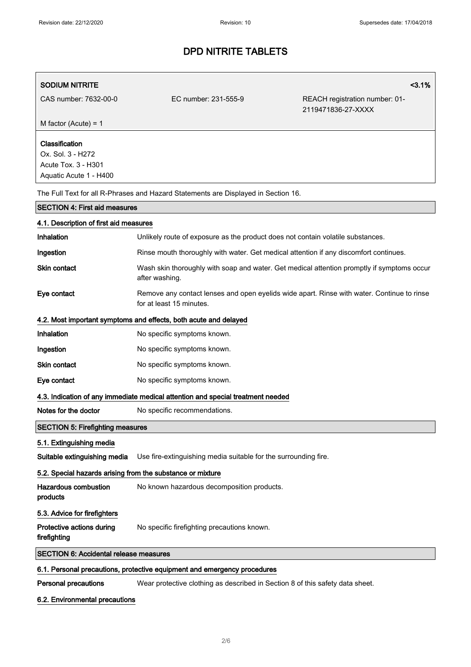| <b>SODIUM NITRITE</b>                                                                |                                                                                                                        | 3.1%                                                 |  |  |
|--------------------------------------------------------------------------------------|------------------------------------------------------------------------------------------------------------------------|------------------------------------------------------|--|--|
| CAS number: 7632-00-0                                                                | EC number: 231-555-9                                                                                                   | REACH registration number: 01-<br>2119471836-27-XXXX |  |  |
| M factor (Acute) = $1$                                                               |                                                                                                                        |                                                      |  |  |
| Classification<br>Ox. Sol. 3 - H272<br>Acute Tox. 3 - H301<br>Aquatic Acute 1 - H400 |                                                                                                                        |                                                      |  |  |
|                                                                                      | The Full Text for all R-Phrases and Hazard Statements are Displayed in Section 16.                                     |                                                      |  |  |
| <b>SECTION 4: First aid measures</b>                                                 |                                                                                                                        |                                                      |  |  |
| 4.1. Description of first aid measures                                               |                                                                                                                        |                                                      |  |  |
| Inhalation                                                                           | Unlikely route of exposure as the product does not contain volatile substances.                                        |                                                      |  |  |
| Ingestion                                                                            | Rinse mouth thoroughly with water. Get medical attention if any discomfort continues.                                  |                                                      |  |  |
| Skin contact                                                                         | Wash skin thoroughly with soap and water. Get medical attention promptly if symptoms occur<br>after washing.           |                                                      |  |  |
| Eye contact                                                                          | Remove any contact lenses and open eyelids wide apart. Rinse with water. Continue to rinse<br>for at least 15 minutes. |                                                      |  |  |
|                                                                                      | 4.2. Most important symptoms and effects, both acute and delayed                                                       |                                                      |  |  |
| Inhalation                                                                           | No specific symptoms known.                                                                                            |                                                      |  |  |
| Ingestion                                                                            | No specific symptoms known.                                                                                            |                                                      |  |  |
| <b>Skin contact</b>                                                                  | No specific symptoms known.                                                                                            |                                                      |  |  |
| Eye contact                                                                          | No specific symptoms known.                                                                                            |                                                      |  |  |
|                                                                                      | 4.3. Indication of any immediate medical attention and special treatment needed                                        |                                                      |  |  |
| Notes for the doctor                                                                 | No specific recommendations.                                                                                           |                                                      |  |  |
| <b>SECTION 5: Firefighting measures</b>                                              |                                                                                                                        |                                                      |  |  |
| 5.1. Extinguishing media                                                             |                                                                                                                        |                                                      |  |  |
| Suitable extinguishing media                                                         | Use fire-extinguishing media suitable for the surrounding fire.                                                        |                                                      |  |  |
| 5.2. Special hazards arising from the substance or mixture                           |                                                                                                                        |                                                      |  |  |
| <b>Hazardous combustion</b><br>products                                              | No known hazardous decomposition products.                                                                             |                                                      |  |  |
| 5.3. Advice for firefighters                                                         |                                                                                                                        |                                                      |  |  |
| Protective actions during<br>firefighting                                            | No specific firefighting precautions known.                                                                            |                                                      |  |  |
| <b>SECTION 6: Accidental release measures</b>                                        |                                                                                                                        |                                                      |  |  |
|                                                                                      | 6.1. Personal precautions, protective equipment and emergency procedures                                               |                                                      |  |  |
| <b>Personal precautions</b>                                                          | Wear protective clothing as described in Section 8 of this safety data sheet.                                          |                                                      |  |  |

#### 6.2. Environmental precautions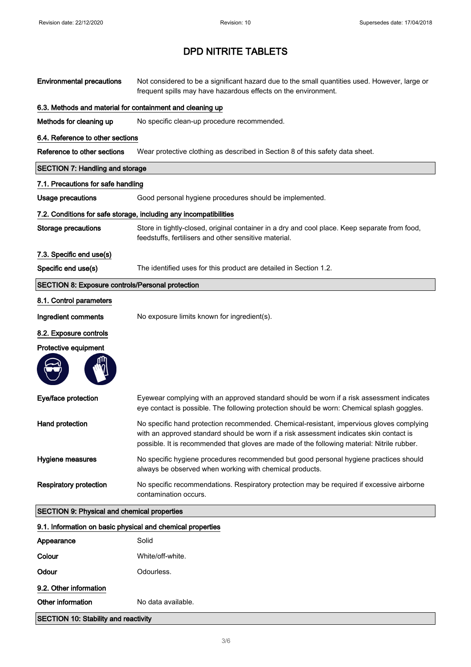| <b>Environmental precautions</b>                           | Not considered to be a significant hazard due to the small quantities used. However, large or<br>frequent spills may have hazardous effects on the environment.                                                                                                                    |
|------------------------------------------------------------|------------------------------------------------------------------------------------------------------------------------------------------------------------------------------------------------------------------------------------------------------------------------------------|
| 6.3. Methods and material for containment and cleaning up  |                                                                                                                                                                                                                                                                                    |
| Methods for cleaning up                                    | No specific clean-up procedure recommended.                                                                                                                                                                                                                                        |
| 6.4. Reference to other sections                           |                                                                                                                                                                                                                                                                                    |
| Reference to other sections                                | Wear protective clothing as described in Section 8 of this safety data sheet.                                                                                                                                                                                                      |
| <b>SECTION 7: Handling and storage</b>                     |                                                                                                                                                                                                                                                                                    |
| 7.1. Precautions for safe handling                         |                                                                                                                                                                                                                                                                                    |
| <b>Usage precautions</b>                                   | Good personal hygiene procedures should be implemented.                                                                                                                                                                                                                            |
|                                                            | 7.2. Conditions for safe storage, including any incompatibilities                                                                                                                                                                                                                  |
| Storage precautions                                        | Store in tightly-closed, original container in a dry and cool place. Keep separate from food,<br>feedstuffs, fertilisers and other sensitive material.                                                                                                                             |
| 7.3. Specific end use(s)                                   |                                                                                                                                                                                                                                                                                    |
| Specific end use(s)                                        | The identified uses for this product are detailed in Section 1.2.                                                                                                                                                                                                                  |
| <b>SECTION 8: Exposure controls/Personal protection</b>    |                                                                                                                                                                                                                                                                                    |
| 8.1. Control parameters                                    |                                                                                                                                                                                                                                                                                    |
| Ingredient comments                                        | No exposure limits known for ingredient(s).                                                                                                                                                                                                                                        |
| 8.2. Exposure controls                                     |                                                                                                                                                                                                                                                                                    |
| Protective equipment                                       |                                                                                                                                                                                                                                                                                    |
|                                                            |                                                                                                                                                                                                                                                                                    |
| Eye/face protection                                        | Eyewear complying with an approved standard should be worn if a risk assessment indicates<br>eye contact is possible. The following protection should be worn: Chemical splash goggles.                                                                                            |
| Hand protection                                            | No specific hand protection recommended. Chemical-resistant, impervious gloves complying<br>with an approved standard should be worn if a risk assessment indicates skin contact is<br>possible. It is recommended that gloves are made of the following material: Nitrile rubber. |
| Hygiene measures                                           | No specific hygiene procedures recommended but good personal hygiene practices should<br>always be observed when working with chemical products.                                                                                                                                   |
| <b>Respiratory protection</b>                              | No specific recommendations. Respiratory protection may be required if excessive airborne<br>contamination occurs.                                                                                                                                                                 |
| <b>SECTION 9: Physical and chemical properties</b>         |                                                                                                                                                                                                                                                                                    |
| 9.1. Information on basic physical and chemical properties |                                                                                                                                                                                                                                                                                    |
| Appearance                                                 | Solid                                                                                                                                                                                                                                                                              |
| Colour                                                     | White/off-white.                                                                                                                                                                                                                                                                   |
| Odour                                                      | Odourless.                                                                                                                                                                                                                                                                         |
| 9.2. Other information                                     |                                                                                                                                                                                                                                                                                    |
| Other information                                          | No data available.                                                                                                                                                                                                                                                                 |
| <b>SECTION 10: Stability and reactivity</b>                |                                                                                                                                                                                                                                                                                    |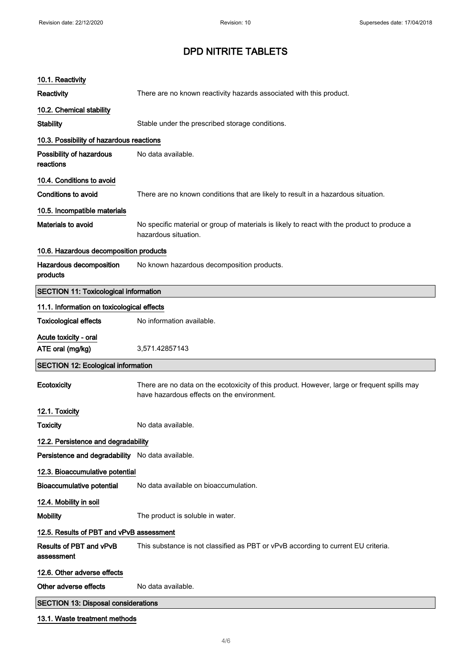| 10.1. Reactivity                                 |                                                                                                                                           |
|--------------------------------------------------|-------------------------------------------------------------------------------------------------------------------------------------------|
| Reactivity                                       | There are no known reactivity hazards associated with this product.                                                                       |
| 10.2. Chemical stability                         |                                                                                                                                           |
| <b>Stability</b>                                 | Stable under the prescribed storage conditions.                                                                                           |
| 10.3. Possibility of hazardous reactions         |                                                                                                                                           |
| Possibility of hazardous<br>reactions            | No data available.                                                                                                                        |
| 10.4. Conditions to avoid                        |                                                                                                                                           |
| <b>Conditions to avoid</b>                       | There are no known conditions that are likely to result in a hazardous situation.                                                         |
| 10.5. Incompatible materials                     |                                                                                                                                           |
| Materials to avoid                               | No specific material or group of materials is likely to react with the product to produce a<br>hazardous situation.                       |
| 10.6. Hazardous decomposition products           |                                                                                                                                           |
| Hazardous decomposition<br>products              | No known hazardous decomposition products.                                                                                                |
| <b>SECTION 11: Toxicological information</b>     |                                                                                                                                           |
| 11.1. Information on toxicological effects       |                                                                                                                                           |
| <b>Toxicological effects</b>                     | No information available.                                                                                                                 |
| Acute toxicity - oral<br>ATE oral (mg/kg)        | 3,571.42857143                                                                                                                            |
| <b>SECTION 12: Ecological information</b>        |                                                                                                                                           |
| Ecotoxicity                                      | There are no data on the ecotoxicity of this product. However, large or frequent spills may<br>have hazardous effects on the environment. |
| 12.1. Toxicity                                   |                                                                                                                                           |
| <b>Toxicity</b>                                  | No data available.                                                                                                                        |
| 12.2. Persistence and degradability              |                                                                                                                                           |
| Persistence and degradability No data available. |                                                                                                                                           |
| 12.3. Bioaccumulative potential                  |                                                                                                                                           |
| <b>Bioaccumulative potential</b>                 | No data available on bioaccumulation.                                                                                                     |
| 12.4. Mobility in soil                           |                                                                                                                                           |
| <b>Mobility</b>                                  | The product is soluble in water.                                                                                                          |
| 12.5. Results of PBT and vPvB assessment         |                                                                                                                                           |
| Results of PBT and vPvB<br>assessment            | This substance is not classified as PBT or vPvB according to current EU criteria.                                                         |
| 12.6. Other adverse effects                      |                                                                                                                                           |
| Other adverse effects                            | No data available.                                                                                                                        |
| <b>SECTION 13: Disposal considerations</b>       |                                                                                                                                           |
|                                                  |                                                                                                                                           |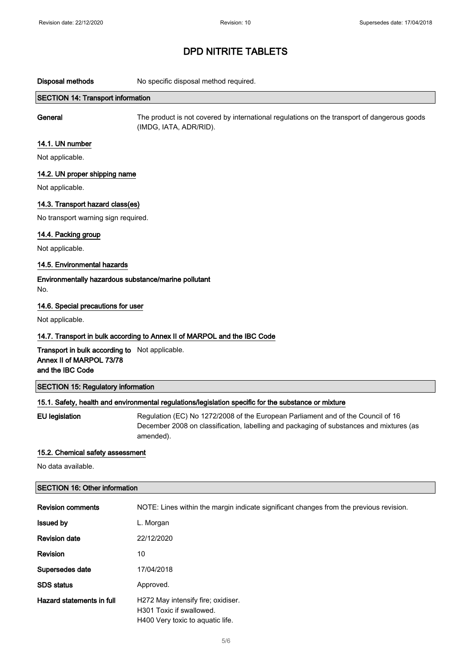Disposal methods No specific disposal method required.

#### SECTION 14: Transport information

General The product is not covered by international regulations on the transport of dangerous goods (IMDG, IATA, ADR/RID).

#### 14.1. UN number

Not applicable.

#### 14.2. UN proper shipping name

Not applicable.

#### 14.3. Transport hazard class(es)

No transport warning sign required.

#### 14.4. Packing group

Not applicable.

#### 14.5. Environmental hazards

Environmentally hazardous substance/marine pollutant No.

#### 14.6. Special precautions for user

Not applicable.

#### 14.7. Transport in bulk according to Annex II of MARPOL and the IBC Code

Transport in bulk according to Not applicable. Annex II of MARPOL 73/78 and the IBC Code

#### SECTION 15: Regulatory information

#### 15.1. Safety, health and environmental regulations/legislation specific for the substance or mixture

EU legislation Regulation (EC) No 1272/2008 of the European Parliament and of the Council of 16 December 2008 on classification, labelling and packaging of substances and mixtures (as amended).

#### 15.2. Chemical safety assessment

No data available.

#### SECTION 16: Other information

| <b>Revision comments</b>  | NOTE: Lines within the margin indicate significant changes from the previous revision.             |
|---------------------------|----------------------------------------------------------------------------------------------------|
| <b>Issued by</b>          | L. Morgan                                                                                          |
| <b>Revision date</b>      | 22/12/2020                                                                                         |
| Revision                  | 10                                                                                                 |
| Supersedes date           | 17/04/2018                                                                                         |
| <b>SDS</b> status         | Approved.                                                                                          |
| Hazard statements in full | H272 May intensify fire; oxidiser.<br>H301 Toxic if swallowed.<br>H400 Very toxic to aquatic life. |